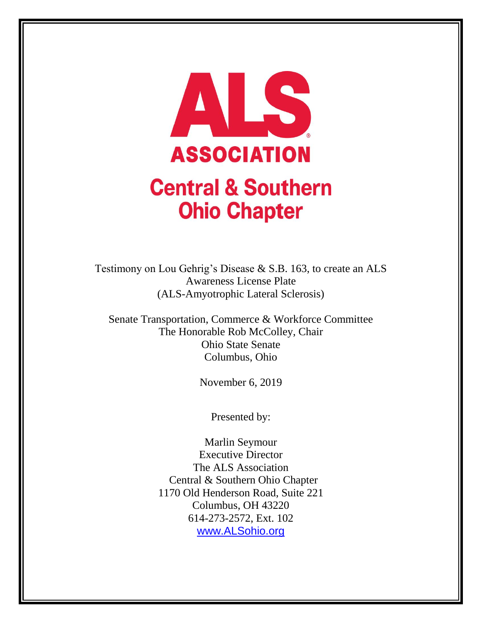

# **Central & Southern Ohio Chapter**

Testimony on Lou Gehrig's Disease & S.B. 163, to create an ALS Awareness License Plate (ALS-Amyotrophic Lateral Sclerosis)

Senate Transportation, Commerce & Workforce Committee The Honorable Rob McColley, Chair Ohio State Senate Columbus, Ohio

November 6, 2019

Presented by:

Marlin Seymour Executive Director The ALS Association Central & Southern Ohio Chapter 1170 Old Henderson Road, Suite 221 Columbus, OH 43220 614-273-2572, Ext. 102 [www.ALSohio.org](http://www.alsohio.org/)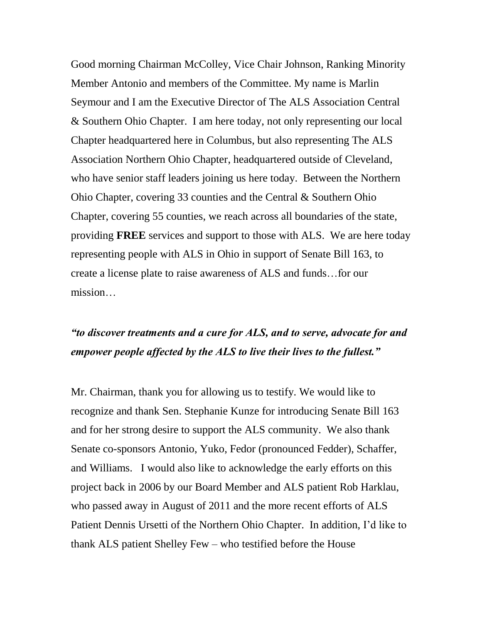Good morning Chairman McColley, Vice Chair Johnson, Ranking Minority Member Antonio and members of the Committee. My name is Marlin Seymour and I am the Executive Director of The ALS Association Central & Southern Ohio Chapter. I am here today, not only representing our local Chapter headquartered here in Columbus, but also representing The ALS Association Northern Ohio Chapter, headquartered outside of Cleveland, who have senior staff leaders joining us here today. Between the Northern Ohio Chapter, covering 33 counties and the Central & Southern Ohio Chapter, covering 55 counties, we reach across all boundaries of the state, providing **FREE** services and support to those with ALS. We are here today representing people with ALS in Ohio in support of Senate Bill 163, to create a license plate to raise awareness of ALS and funds…for our mission…

## *"to discover treatments and a cure for ALS, and to serve, advocate for and empower people affected by the ALS to live their lives to the fullest."*

Mr. Chairman, thank you for allowing us to testify. We would like to recognize and thank Sen. Stephanie Kunze for introducing Senate Bill 163 and for her strong desire to support the ALS community. We also thank Senate co-sponsors Antonio, Yuko, Fedor (pronounced Fedder), Schaffer, and Williams. I would also like to acknowledge the early efforts on this project back in 2006 by our Board Member and ALS patient Rob Harklau, who passed away in August of 2011 and the more recent efforts of ALS Patient Dennis Ursetti of the Northern Ohio Chapter. In addition, I'd like to thank ALS patient Shelley Few – who testified before the House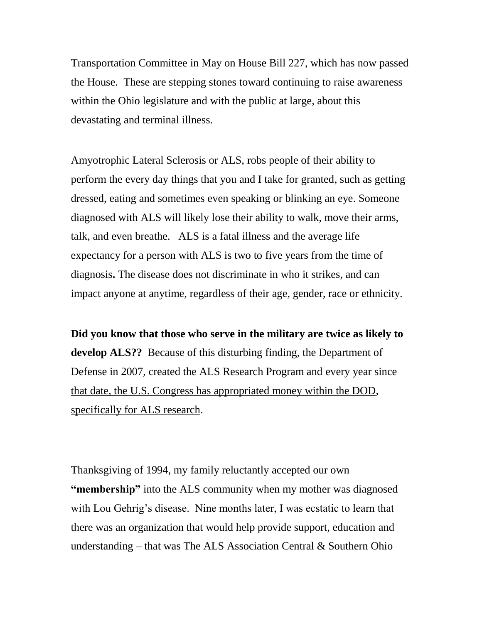Transportation Committee in May on House Bill 227, which has now passed the House. These are stepping stones toward continuing to raise awareness within the Ohio legislature and with the public at large, about this devastating and terminal illness.

Amyotrophic Lateral Sclerosis or ALS, robs people of their ability to perform the every day things that you and I take for granted, such as getting dressed, eating and sometimes even speaking or blinking an eye. Someone diagnosed with ALS will likely lose their ability to walk, move their arms, talk, and even breathe. ALS is a fatal illness and the average life expectancy for a person with ALS is two to five years from the time of diagnosis**.** The disease does not discriminate in who it strikes, and can impact anyone at anytime, regardless of their age, gender, race or ethnicity.

**Did you know that those who serve in the military are twice as likely to develop ALS??** Because of this disturbing finding, the Department of Defense in 2007, created the ALS Research Program and every year since that date, the U.S. Congress has appropriated money within the DOD, specifically for ALS research.

Thanksgiving of 1994, my family reluctantly accepted our own **"membership"** into the ALS community when my mother was diagnosed with Lou Gehrig's disease. Nine months later, I was ecstatic to learn that there was an organization that would help provide support, education and understanding – that was The ALS Association Central & Southern Ohio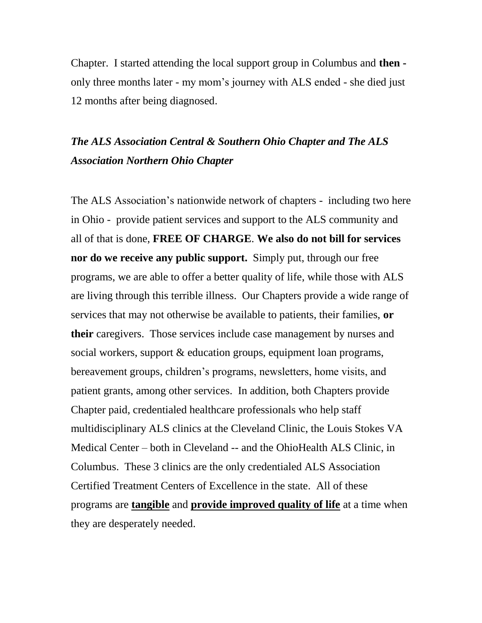Chapter. I started attending the local support group in Columbus and **then**  only three months later - my mom's journey with ALS ended - she died just 12 months after being diagnosed.

### *The ALS Association Central & Southern Ohio Chapter and The ALS Association Northern Ohio Chapter*

The ALS Association's nationwide network of chapters - including two here in Ohio - provide patient services and support to the ALS community and all of that is done, **FREE OF CHARGE**. **We also do not bill for services nor do we receive any public support.** Simply put, through our free programs, we are able to offer a better quality of life, while those with ALS are living through this terrible illness. Our Chapters provide a wide range of services that may not otherwise be available to patients, their families, **or their** caregivers. Those services include case management by nurses and social workers, support & education groups, equipment loan programs, bereavement groups, children's programs, newsletters, home visits, and patient grants, among other services. In addition, both Chapters provide Chapter paid, credentialed healthcare professionals who help staff multidisciplinary ALS clinics at the Cleveland Clinic, the Louis Stokes VA Medical Center – both in Cleveland -- and the OhioHealth ALS Clinic, in Columbus. These 3 clinics are the only credentialed ALS Association Certified Treatment Centers of Excellence in the state. All of these programs are **tangible** and **provide improved quality of life** at a time when they are desperately needed.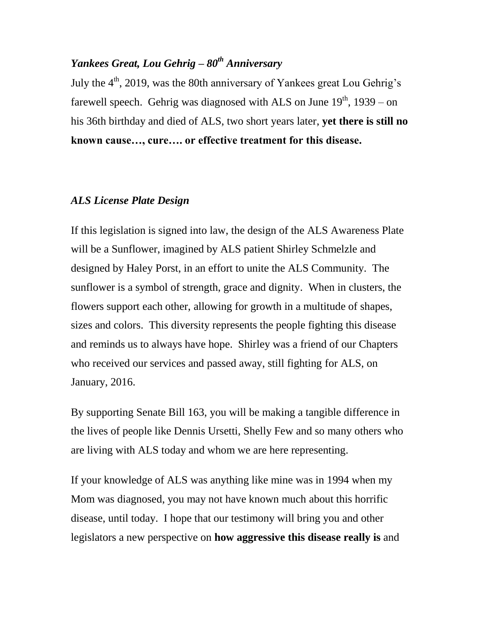#### *Yankees Great, Lou Gehrig – 80th Anniversary*

July the  $4<sup>th</sup>$ , 2019, was the 80th anniversary of Yankees great Lou Gehrig's farewell speech. Gehrig was diagnosed with ALS on June  $19<sup>th</sup>$ , 1939 – on his 36th birthday and died of ALS, two short years later, **yet there is still no known cause…, cure…. or effective treatment for this disease.**

#### *ALS License Plate Design*

If this legislation is signed into law, the design of the ALS Awareness Plate will be a Sunflower, imagined by ALS patient Shirley Schmelzle and designed by Haley Porst, in an effort to unite the ALS Community. The sunflower is a symbol of strength, grace and dignity. When in clusters, the flowers support each other, allowing for growth in a multitude of shapes, sizes and colors. This diversity represents the people fighting this disease and reminds us to always have hope. Shirley was a friend of our Chapters who received our services and passed away, still fighting for ALS, on January, 2016.

By supporting Senate Bill 163, you will be making a tangible difference in the lives of people like Dennis Ursetti, Shelly Few and so many others who are living with ALS today and whom we are here representing.

If your knowledge of ALS was anything like mine was in 1994 when my Mom was diagnosed, you may not have known much about this horrific disease, until today. I hope that our testimony will bring you and other legislators a new perspective on **how aggressive this disease really is** and